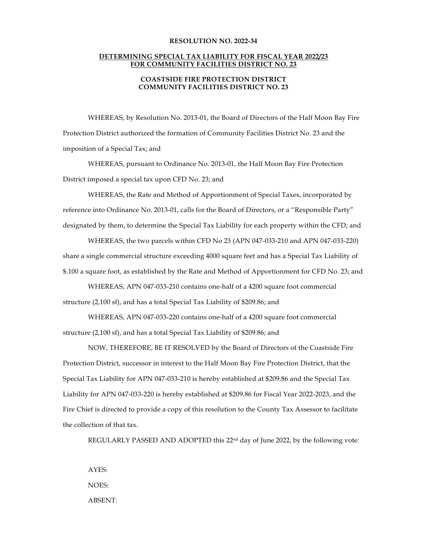## **RESOLUTION NO. 2022-34**

## **DETERMINING SPECIAL TAX LIABILITY FOR FISCAL YEAR 2022/23 FOR COMMUNITY FACILITIES DISTRICT NO. 23**

## **COASTSIDE FIRE PROTECTION DISTRICT COMMUNITY FACILITIES DISTRICT NO. 23**

WHEREAS, by Resolution No. 2013-01, the Board of Directors of the Half Moon Bay Fire Protection District authorized the formation of Community Facilities District No. 23 and the imposition of a Special Tax; and

WHEREAS, pursuant to Ordinance No. 2013-01, the Half Moon Bay Fire Protection District imposed a special tax upon CFD No. 23; and

WHEREAS, the Rate and Method of Apportionment of Special Taxes, incorporated by reference into Ordinance No. 2013-01, calls for the Board of Directors, or a "Responsible Party" designated by them, to determine the Special Tax Liability for each property within the CFD; and

WHEREAS, the two parcels within CFD No 23 (APN 047-033-210 and APN 047-033-220) share a single commercial structure exceeding 4000 square feet and has a Special Tax Liability of \$.100 a square foot, as established by the Rate and Method of Apportionment for CFD No. 23; and

WHEREAS, APN 047-033-210 contains one-half of a 4200 square foot commercial structure (2,100 sf), and has a total Special Tax Liability of \$209.86; and

WHEREAS, APN 047-033-220 contains one-half of a 4200 square foot commercial structure (2,100 sf), and has a total Special Tax Liability of \$209.86; and

NOW, THEREFORE, BE IT RESOLVED by the Board of Directors of the Coastside Fire Protection District, successor in interest to the Half Moon Bay Fire Protection District, that the Special Tax Liability for APN 047-033-210 is hereby established at \$209.86 and the Special Tax Liability for APN 047-033-220 is hereby established at \$209.86 for Fiscal Year 2022-2023, and the Fire Chief is directed to provide a copy of this resolution to the County Tax Assessor to facilitate the collection of that tax.

REGULARLY PASSED AND ADOPTED this  $22<sup>nd</sup>$  day of June 2022, by the following vote:

AYES: NOES: ABSENT: